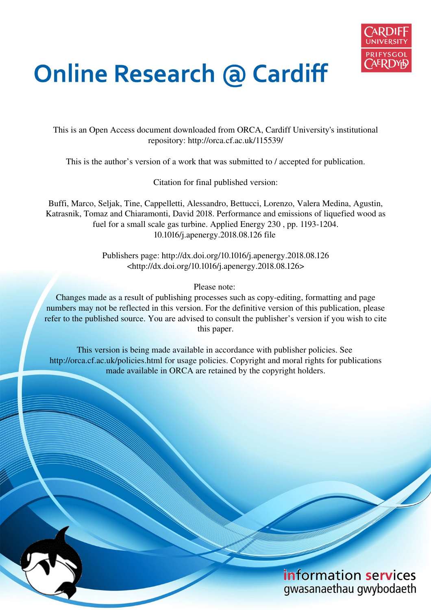

# **Online Research @ Cardiff**

This is an Open Access document downloaded from ORCA, Cardiff University's institutional repository: http://orca.cf.ac.uk/115539/

This is the author's version of a work that was submitted to / accepted for publication.

Citation for final published version:

Buffi, Marco, Seljak, Tine, Cappelletti, Alessandro, Bettucci, Lorenzo, Valera Medina, Agustin, Katrasnik, Tomaz and Chiaramonti, David 2018. Performance and emissions of liquefied wood as fuel for a small scale gas turbine. Applied Energy 230 , pp. 1193-1204. 10.1016/j.apenergy.2018.08.126 file

> Publishers page: http://dx.doi.org/10.1016/j.apenergy.2018.08.126 <http://dx.doi.org/10.1016/j.apenergy.2018.08.126>

> > Please note:

Changes made as a result of publishing processes such as copy-editing, formatting and page numbers may not be reflected in this version. For the definitive version of this publication, please refer to the published source. You are advised to consult the publisher's version if you wish to cite this paper.

This version is being made available in accordance with publisher policies. See http://orca.cf.ac.uk/policies.html for usage policies. Copyright and moral rights for publications made available in ORCA are retained by the copyright holders.

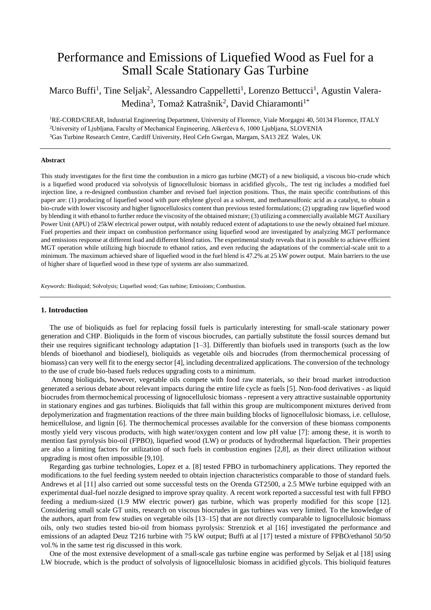# Performance and Emissions of Liquefied Wood as Fuel for a Small Scale Stationary Gas Turbine

# Marco Buffi<sup>1</sup>, Tine Seljak<sup>2</sup>, Alessandro Cappelletti<sup>1</sup>, Lorenzo Bettucci<sup>1</sup>, Agustin Valera-Medina<sup>3</sup>, Tomaž Katrašnik<sup>2</sup>, David Chiaramonti<sup>1\*</sup>

<sup>1</sup>RE-CORD/CREAR, Industrial Engineering Department, University of Florence, Viale Morgagni 40, 50134 Florence, ITALY <sup>2</sup>University of Ljubljana, Faculty of Mechanical Engineering, Aškerčeva 6, 1000 Ljubljana, SLOVENIA <sup>3</sup>Gas Turbine Research Centre, Cardiff University, Heol Cefn Gwrgan, Margam, SA13 2EZ Wales, UK

#### **Abstract**

This study investigates for the first time the combustion in a micro gas turbine (MGT) of a new bioliquid, a viscous bio-crude which is a liquefied wood produced via solvolysis of lignocellulosic biomass in acidified glycols,. The test rig includes a modified fuel injection line, a re-designed combustion chamber and revised fuel injection positions. Thus, the main specific contributions of this paper are: (1) producing of liquefied wood with pure ethylene glycol as a solvent, and methanesulfonic acid as a catalyst, to obtain a bio-crude with lower viscosity and higher lignocellulosics content than previous tested formulations; (2) upgrading raw liquefied wood by blending it with ethanol to further reduce the viscosity of the obtained mixture; (3) utilizing a commercially available MGT Auxiliary Power Unit (APU) of 25kW electrical power output, with notably reduced extent of adaptations to use the newly obtained fuel mixture. Fuel properties and their impact on combustion performance using liquefied wood are investigated by analyzing MGT performance and emissions response at different load and different blend ratios. The experimental study reveals that it is possible to achieve efficient MGT operation while utilizing high biocrude to ethanol ratios, and even reducing the adaptations of the commercial-scale unit to a minimum. The maximum achieved share of liquefied wood in the fuel blend is 47.2% at 25 kW power output. Main barriers to the use of higher share of liquefied wood in these type of systems are also summarized.

*Keywords:* Bioliquid; Solvolysis; Liquefied wood; Gas turbine; Emissions; Combustion.

#### **1. Introduction**

The use of bioliquids as fuel for replacing fossil fuels is particularly interesting for small-scale stationary power generation and CHP. Bioliquids in the form of viscous biocrudes, can partially substitute the fossil sources demand but their use requires significant technology adaptation [1–3]. Differently than biofuels used in transports (such as the low blends of bioethanol and biodiesel), bioliquids as vegetable oils and biocrudes (from thermochemical processing of biomass) can very well fit to the energy sector [4], including decentralized applications. The conversion of the technology to the use of crude bio-based fuels reduces upgrading costs to a minimum.

 Among bioliquids, however, vegetable oils compete with food raw materials, so their broad market introduction generated a serious debate about relevant impacts during the entire life cycle as fuels [5]. Non-food derivatives - as liquid biocrudes from thermochemical processing of lignocellulosic biomass - represent a very attractive sustainable opportunity in stationary engines and gas turbines. Bioliquids that fall within this group are multicomponent mixtures derived from depolymerization and fragmentation reactions of the three main building blocks of lignocellulosic biomass, i.e. cellulose, hemicellulose, and lignin [6]. The thermochemical processes available for the conversion of these biomass components mostly yield very viscous products, with high water/oxygen content and low pH value [7]: among these, it is worth to mention fast pyrolysis bio-oil (FPBO), liquefied wood (LW) or products of hydrothermal liquefaction. Their properties are also a limiting factors for utilization of such fuels in combustion engines [2,8], as their direct utilization without upgrading is most often impossible [9,10].

Regarding gas turbine technologies, Lopez et a. [8] tested FPBO in turbomachinery applications. They reported the modifications to the fuel feeding system needed to obtain injection characteristics comparable to those of standard fuels. Andrews et al [11] also carried out some successful tests on the Orenda GT2500, a 2.5 MWe turbine equipped with an experimental dual-fuel nozzle designed to improve spray quality. A recent work reported a successful test with full FPBO feeding a medium-sized (1.9 MW electric power) gas turbine, which was properly modified for this scope [12]. Considering small scale GT units, research on viscous biocrudes in gas turbines was very limited. To the knowledge of the authors, apart from few studies on vegetable oils [13–15] that are not directly comparable to lignocellulosic biomass oils, only two studies tested bio-oil from biomass pyrolysis: Strenziok et al [16] investigated the performance and emissions of an adapted Deuz T216 turbine with 75 kW output; Buffi at al [17] tested a mixture of FPBO/ethanol 50/50 vol.% in the same test rig discussed in this work.

One of the most extensive development of a small-scale gas turbine engine was performed by Seljak et al [18] using LW biocrude, which is the product of solvolysis of lignocellulosic biomass in acidified glycols. This bioliquid features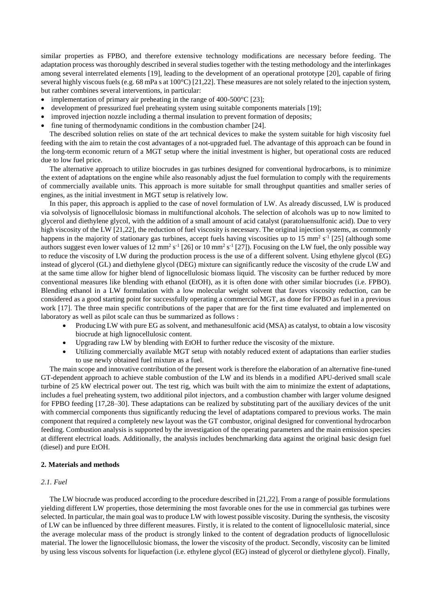similar properties as FPBO, and therefore extensive technology modifications are necessary before feeding. The adaptation process was thoroughly described in several studies together with the testing methodology and the interlinkages among several interrelated elements [19], leading to the development of an operational prototype [20], capable of firing several highly viscous fuels (e.g. 68 mPa s at 100°C) [21,22]. These measures are not solely related to the injection system, but rather combines several interventions, in particular:

- implementation of primary air preheating in the range of 400-500°C [23];
- development of pressurized fuel preheating system using suitable components materials [19];
- improved injection nozzle including a thermal insulation to prevent formation of deposits;
- fine tuning of thermodynamic conditions in the combustion chamber [24].

The described solution relies on state of the art technical devices to make the system suitable for high viscosity fuel feeding with the aim to retain the cost advantages of a not-upgraded fuel. The advantage of this approach can be found in the long-term economic return of a MGT setup where the initial investment is higher, but operational costs are reduced due to low fuel price.

The alternative approach to utilize biocrudes in gas turbines designed for conventional hydrocarbons, is to minimize the extent of adaptations on the engine while also reasonably adjust the fuel formulation to comply with the requirements of commercially available units. This approach is more suitable for small throughput quantities and smaller series of engines, as the initial investment in MGT setup is relatively low.

In this paper, this approach is applied to the case of novel formulation of LW. As already discussed, LW is produced via solvolysis of lignocellulosic biomass in multifunctional alcohols. The selection of alcohols was up to now limited to glycerol and diethylene glycol, with the addition of a small amount of acid catalyst (paratoluensulfonic acid). Due to very high viscosity of the LW [21,22], the reduction of fuel viscosity is necessary. The original injection systems, as commonly happens in the majority of stationary gas turbines, accept fuels having viscosities up to 15 mm<sup>2</sup> s<sup>-1</sup> [25] (although some authors suggest even lower values of  $12 \text{ mm}^2 \text{ s}^{-1}$  [26] or  $10 \text{ mm}^2 \text{ s}^{-1}$  [27]). Focusing on the LW fuel, the only possible way to reduce the viscosity of LW during the production process is the use of a different solvent. Using ethylene glycol (EG) instead of glycerol (GL) and diethylene glycol (DEG) mixture can significantly reduce the viscosity of the crude LW and at the same time allow for higher blend of lignocellulosic biomass liquid. The viscosity can be further reduced by more conventional measures like blending with ethanol (EtOH), as it is often done with other similar biocrudes (i.e. FPBO). Blending ethanol in a LW formulation with a low molecular weight solvent that favors viscosity reduction, can be considered as a good starting point for successfully operating a commercial MGT, as done for FPBO as fuel in a previous work [17]. The three main specific contributions of the paper that are for the first time evaluated and implemented on laboratory as well as pilot scale can thus be summarized as follows :

- Producing LW with pure EG as solvent, and methanesulfonic acid (MSA) as catalyst, to obtain a low viscosity biocrude at high lignocellulosic content.
- Upgrading raw LW by blending with EtOH to further reduce the viscosity of the mixture.
- Utilizing commercially available MGT setup with notably reduced extent of adaptations than earlier studies to use newly obtained fuel mixture as a fuel.

The main scope and innovative contribution of the present work is therefore the elaboration of an alternative fine-tuned GT-dependent approach to achieve stable combustion of the LW and its blends in a modified APU-derived small scale turbine of 25 kW electrical power out. The test rig, which was built with the aim to minimize the extent of adaptations, includes a fuel preheating system, two additional pilot injectors, and a combustion chamber with larger volume designed for FPBO feeding [17,28–30]. These adaptations can be realized by substituting part of the auxiliary devices of the unit with commercial components thus significantly reducing the level of adaptations compared to previous works. The main component that required a completely new layout was the GT combustor, original designed for conventional hydrocarbon feeding. Combustion analysis is supported by the investigation of the operating parameters and the main emission species at different electrical loads. Additionally, the analysis includes benchmarking data against the original basic design fuel (diesel) and pure EtOH.

#### **2. Materials and methods**

#### *2.1. Fuel*

The LW biocrude was produced according to the procedure described in [21,22]. From a range of possible formulations yielding different LW properties, those determining the most favorable ones for the use in commercial gas turbines were selected. In particular, the main goal was to produce LW with lowest possible viscosity. During the synthesis, the viscosity of LW can be influenced by three different measures. Firstly, it is related to the content of lignocellulosic material, since the average molecular mass of the product is strongly linked to the content of degradation products of lignocellulosic material. The lower the lignocellulosic biomass, the lower the viscosity of the product. Secondly, viscosity can be limited by using less viscous solvents for liquefaction (i.e. ethylene glycol (EG) instead of glycerol or diethylene glycol). Finally,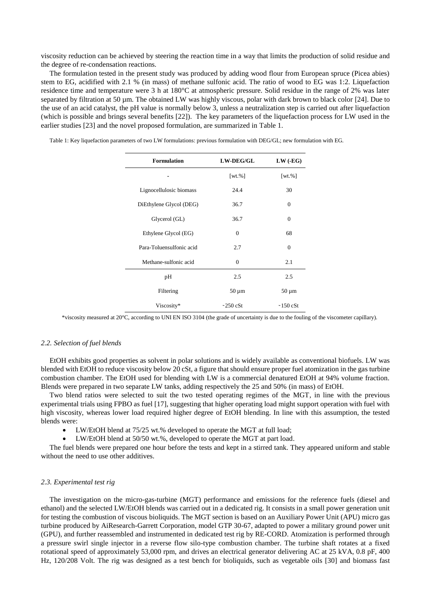viscosity reduction can be achieved by steering the reaction time in a way that limits the production of solid residue and the degree of re-condensation reactions.

The formulation tested in the present study was produced by adding wood flour from European spruce (Picea abies) stem to EG, acidified with 2.1 % (in mass) of methane sulfonic acid. The ratio of wood to EG was 1:2. Liquefaction residence time and temperature were 3 h at 180°C at atmospheric pressure. Solid residue in the range of 2% was later separated by filtration at 50 µm. The obtained LW was highly viscous, polar with dark brown to black color [24]. Due to the use of an acid catalyst, the pH value is normally below 3, unless a neutralization step is carried out after liquefaction (which is possible and brings several benefits [22]). The key parameters of the liquefaction process for LW used in the earlier studies [23] and the novel proposed formulation, are summarized in [Table 1.](#page-3-0)

| <b>Formulation</b>       | <b>LW-DEG/GL</b> | $LW$ (-EG)     |
|--------------------------|------------------|----------------|
|                          | $[wt. \%]$       | $[wt. \%]$     |
| Lignocellulosic biomass  | 24.4             | 30             |
| DiEthylene Glycol (DEG)  | 36.7             | $\mathbf{0}$   |
| Glycerol (GL)            | 36.7             | $\overline{0}$ |
| Ethylene Glycol (EG)     | $\Omega$         | 68             |
| Para-Toluensulfonic acid | 2.7              | $\mathbf{0}$   |
| Methane-sulfonic acid    | $\Omega$         | 2.1            |
| pH                       | 2.5              | 2.5            |
| Filtering                | $50 \mu m$       | $50 \mu m$     |
| Viscosity*               | $\sim$ 250 cSt   | $\sim$ 150 cSt |

<span id="page-3-0"></span>Table 1: Key liquefaction parameters of two LW formulations: previous formulation with DEG/GL; new formulation with EG.

\*viscosity measured at 20°C, according to UNI EN ISO 3104 (the grade of uncertainty is due to the fouling of the viscometer capillary).

#### *2.2. Selection of fuel blends*

EtOH exhibits good properties as solvent in polar solutions and is widely available as conventional biofuels. LW was blended with EtOH to reduce viscosity below 20 cSt, a figure that should ensure proper fuel atomization in the gas turbine combustion chamber. The EtOH used for blending with LW is a commercial denatured EtOH at 94% volume fraction. Blends were prepared in two separate LW tanks, adding respectively the 25 and 50% (in mass) of EtOH.

Two blend ratios were selected to suit the two tested operating regimes of the MGT, in line with the previous experimental trials using FPBO as fuel [17], suggesting that higher operating load might support operation with fuel with high viscosity, whereas lower load required higher degree of EtOH blending. In line with this assumption, the tested blends were:

- LW/EtOH blend at 75/25 wt.% developed to operate the MGT at full load;
- LW/EtOH blend at 50/50 wt.%, developed to operate the MGT at part load.

The fuel blends were prepared one hour before the tests and kept in a stirred tank. They appeared uniform and stable without the need to use other additives.

#### *2.3. Experimental test rig*

The investigation on the micro-gas-turbine (MGT) performance and emissions for the reference fuels (diesel and ethanol) and the selected LW/EtOH blends was carried out in a dedicated rig. It consists in a small power generation unit for testing the combustion of viscous bioliquids. The MGT section is based on an Auxiliary Power Unit (APU) micro gas turbine produced by AiResearch-Garrett Corporation, model GTP 30-67, adapted to power a military ground power unit (GPU), and further reassembled and instrumented in dedicated test rig by RE-CORD. Atomization is performed through a pressure swirl single injector in a reverse flow silo-type combustion chamber. The turbine shaft rotates at a fixed rotational speed of approximately 53,000 rpm, and drives an electrical generator delivering AC at 25 kVA, 0.8 pF, 400 Hz, 120/208 Volt. The rig was designed as a test bench for bioliquids, such as vegetable oils [30] and biomass fast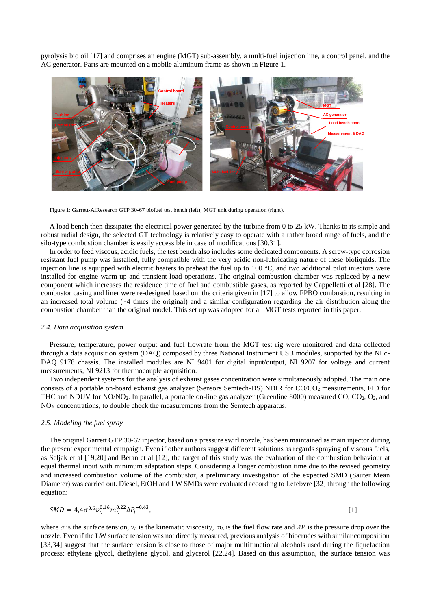pyrolysis bio oil [17] and comprises an engine (MGT) sub-assembly, a multi-fuel injection line, a control panel, and the AC generator. Parts are mounted on a mobile aluminum frame as shown in [Figure 1.](#page-4-0) 



<span id="page-4-0"></span>Figure 1: Garrett-AiResearch GTP 30-67 biofuel test bench (left); MGT unit during operation (right).

A load bench then dissipates the electrical power generated by the turbine from 0 to 25 kW. Thanks to its simple and robust radial design, the selected GT technology is relatively easy to operate with a rather broad range of fuels, and the silo-type combustion chamber is easily accessible in case of modifications [30,31].

In order to feed viscous, acidic fuels, the test bench also includes some dedicated components. A screw-type corrosion resistant fuel pump was installed, fully compatible with the very acidic non-lubricating nature of these bioliquids. The injection line is equipped with electric heaters to preheat the fuel up to  $100^{\circ}$ C, and two additional pilot injectors were installed for engine warm-up and transient load operations. The original combustion chamber was replaced by a new component which increases the residence time of fuel and combustible gases, as reported by Cappelletti et al [28]. The combustor casing and liner were re-designed based on the criteria given in [17] to allow FPBO combustion, resulting in an increased total volume (~4 times the original) and a similar configuration regarding the air distribution along the combustion chamber than the original model. This set up was adopted for all MGT tests reported in this paper.

#### *2.4. Data acquisition system*

Pressure, temperature, power output and fuel flowrate from the MGT test rig were monitored and data collected through a data acquisition system (DAQ) composed by three National Instrument USB modules, supported by the NI c-DAQ 9178 chassis. The installed modules are NI 9401 for digital input/output, NI 9207 for voltage and current measurements, NI 9213 for thermocouple acquisition.

Two independent systems for the analysis of exhaust gases concentration were simultaneously adopted. The main one consists of a portable on-board exhaust gas analyzer (Sensors Semtech-DS) NDIR for  $CO/CO<sub>2</sub>$  measurements, FID for THC and NDUV for NO/NO2. In parallel, a portable on-line gas analyzer (Greenline 8000) measured CO, CO2, O2, and  $NO<sub>X</sub>$  concentrations, to double check the measurements from the Semtech apparatus.

# *2.5. Modeling the fuel spray*

The original Garrett GTP 30-67 injector, based on a pressure swirl nozzle, has been maintained as main injector during the present experimental campaign. Even if other authors suggest different solutions as regards spraying of viscous fuels, as Seljak et al [19,20] and Beran et al [12], the target of this study was the evaluation of the combustion behaviour at equal thermal input with minimum adaptation steps. Considering a longer combustion time due to the revised geometry and increased combustion volume of the combustor, a preliminary investigation of the expected SMD (Sauter Mean Diameter) was carried out. Diesel, EtOH and LW SMDs were evaluated according to Lefebvre [32] through the following equation:

$$
SMD = 4.4\sigma^{0.6}v_L^{0.16}m_L^{0.22}\Delta P_l^{-0.43},\tag{1}
$$

where  $\sigma$  is the surface tension,  $v_L$  is the kinematic viscosity,  $m_L$  is the fuel flow rate and  $\Delta P$  is the pressure drop over the nozzle. Even if the LW surface tension was not directly measured, previous analysis of biocrudes with similar composition [33,34] suggest that the surface tension is close to those of major multifunctional alcohols used during the liquefaction process: ethylene glycol, diethylene glycol, and glycerol [22,24]. Based on this assumption, the surface tension was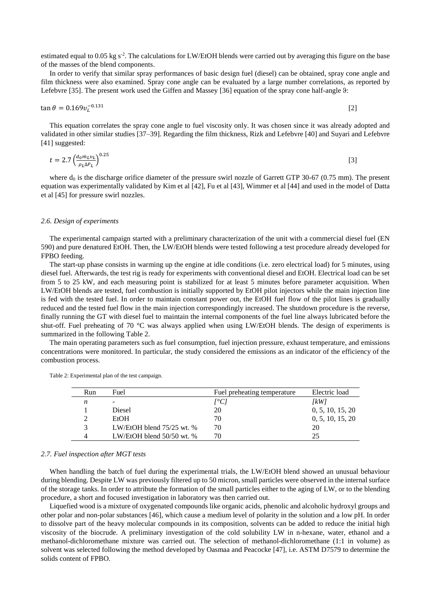estimated equal to 0.05 kg  $s^2$ . The calculations for LW/EtOH blends were carried out by averaging this figure on the base of the masses of the blend components.

In order to verify that similar spray performances of basic design fuel (diesel) can be obtained, spray cone angle and film thickness were also examined. Spray cone angle can be evaluated by a large number correlations, as reported by Lefebvre [35]. The present work used the Giffen and Massey [36] equation of the spray cone half-angle  $9$ :

$$
\tan \theta = 0.169 v_L^{-0.131}
$$
 [2]

This equation correlates the spray cone angle to fuel viscosity only. It was chosen since it was already adopted and validated in other similar studies [37–39]. Regarding the film thickness, Rizk and Lefebvre [40] and Suyari and Lefebvre [41] suggested:

$$
t = 2.7 \left(\frac{d_0 m_L v_L}{\rho_L \Delta P_L}\right)^{0.25} \tag{3}
$$

where  $d_0$  is the discharge orifice diameter of the pressure swirl nozzle of Garrett GTP 30-67 (0.75 mm). The present equation was experimentally validated by Kim et al [42], Fu et al [43], Wimmer et al [44] and used in the model of Datta et al [45] for pressure swirl nozzles.

#### *2.6. Design of experiments*

The experimental campaign started with a preliminary characterization of the unit with a commercial diesel fuel (EN 590) and pure denatured EtOH. Then, the LW/EtOH blends were tested following a test procedure already developed for FPBO feeding.

The start-up phase consists in warming up the engine at idle conditions (i.e. zero electrical load) for 5 minutes, using diesel fuel. Afterwards, the test rig is ready for experiments with conventional diesel and EtOH. Electrical load can be set from 5 to 25 kW, and each measuring point is stabilized for at least 5 minutes before parameter acquisition. When LW/EtOH blends are tested, fuel combustion is initially supported by EtOH pilot injectors while the main injection line is fed with the tested fuel. In order to maintain constant power out, the EtOH fuel flow of the pilot lines is gradually reduced and the tested fuel flow in the main injection correspondingly increased. The shutdown procedure is the reverse, finally running the GT with diesel fuel to maintain the internal components of the fuel line always lubricated before the shut-off. Fuel preheating of 70 °C was always applied when using LW/EtOH blends. The design of experiments is summarized in the following [Table 2.](#page-5-0)

The main operating parameters such as fuel consumption, fuel injection pressure, exhaust temperature, and emissions concentrations were monitored. In particular, the study considered the emissions as an indicator of the efficiency of the combustion process.

| Run | Fuel                        | Fuel preheating temperature | Electric load    |
|-----|-----------------------------|-----------------------------|------------------|
| n   |                             | [°C]                        | [kW]             |
|     | Diesel                      | 20                          | 0, 5, 10, 15, 20 |
|     | EtOH                        | 70                          | 0, 5, 10, 15, 20 |
|     | LW/EtOH blend $75/25$ wt. % | 70                          | 20               |
|     | LW/EtOH blend $50/50$ wt. % | 70                          | 25               |

<span id="page-5-0"></span>Table 2: Experimental plan of the test campaign.

#### <span id="page-5-1"></span>*2.7. Fuel inspection after MGT tests*

When handling the batch of fuel during the experimental trials, the LW/EtOH blend showed an unusual behaviour during blending. Despite LW was previously filtered up to 50 micron, small particles were observed in the internal surface of the storage tanks. In order to attribute the formation of the small particles either to the aging of LW, or to the blending procedure, a short and focused investigation in laboratory was then carried out.

Liquefied wood is a mixture of oxygenated compounds like organic acids, phenolic and alcoholic hydroxyl groups and other polar and non-polar substances [46], which cause a medium level of polarity in the solution and a low pH. In order to dissolve part of the heavy molecular compounds in its composition, solvents can be added to reduce the initial high viscosity of the biocrude. A preliminary investigation of the cold solubility LW in n-hexane, water, ethanol and a methanol-dichloromethane mixture was carried out. The selection of methanol-dichloromethane (1:1 in volume) as solvent was selected following the method developed by Oasmaa and Peacocke [47], i.e. ASTM D7579 to determine the solids content of FPBO.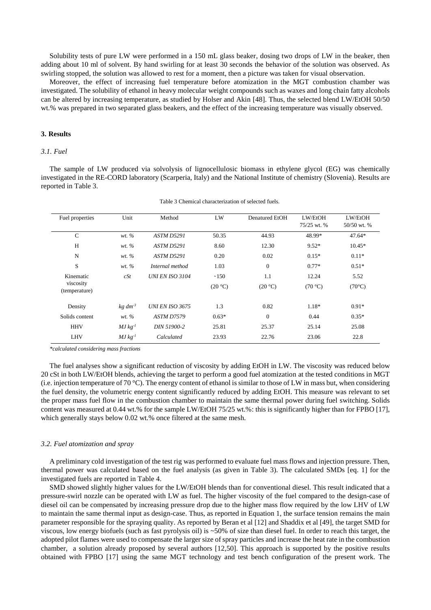Solubility tests of pure LW were performed in a 150 mL glass beaker, dosing two drops of LW in the beaker, then adding about 10 ml of solvent. By hand swirling for at least 30 seconds the behavior of the solution was observed. As swirling stopped, the solution was allowed to rest for a moment, then a picture was taken for visual observation.

Moreover, the effect of increasing fuel temperature before atomization in the MGT combustion chamber was investigated. The solubility of ethanol in heavy molecular weight compounds such as waxes and long chain fatty alcohols can be altered by increasing temperature, as studied by Holser and Akin [48]. Thus, the selected blend LW/EtOH 50/50 wt.% was prepared in two separated glass beakers, and the effect of the increasing temperature was visually observed.

#### **3. Results**

## *3.1. Fuel*

The sample of LW produced via solvolysis of lignocellulosic biomass in ethylene glycol (EG) was chemically investigated in the RE-CORD laboratory (Scarperia, Italy) and the National Institute of chemistry (Slovenia). Results are reported in [Table 3.](#page-6-0)

<span id="page-6-0"></span>

| Fuel properties            | Unit            | Method                 | LW      | Denatured EtOH | LW/EtOH<br>75/25 wt. % | LW/EtOH<br>50/50 wt. % |
|----------------------------|-----------------|------------------------|---------|----------------|------------------------|------------------------|
| $\mathcal{C}$              | wt. %           | <b>ASTM D5291</b>      | 50.35   | 44.93          | 48.99*                 | $47.64*$               |
| H                          | wt. %           | <b>ASTM D5291</b>      | 8.60    | 12.30          | $9.52*$                | $10.45*$               |
| N                          | $wt. \%$        | <b>ASTM D5291</b>      | 0.20    | 0.02           | $0.15*$                | $0.11*$                |
| S                          | wt. %           | Internal method        | 1.03    | $\overline{0}$ | $0.77*$                | $0.51*$                |
| Kinematic                  | cSt             | <b>UNI EN ISO 3104</b> | ~150    | 1.1            | 12.24                  | 5.52                   |
| viscosity<br>(temperature) |                 |                        | (20 °C) | (20 °C)        | (70 °C)                | $(70^{\circ}C)$        |
| Density                    | $kg \, dm^{-3}$ | <b>UNI EN ISO 3675</b> | 1.3     | 0.82           | $1.18*$                | $0.91*$                |
| Solids content             | wt. %           | <b>ASTM D7579</b>      | $0.63*$ | $\mathbf{0}$   | 0.44                   | $0.35*$                |
| <b>HHV</b>                 | $MJ$ $kg^{-1}$  | DIN 51900-2            | 25.81   | 25.37          | 25.14                  | 25.08                  |
| <b>LHV</b>                 | $MJ$ $kg^{-1}$  | Calculated             | 23.93   | 22.76          | 23.06                  | 22.8                   |

Table 3 Chemical characterization of selected fuels.

*\*calculated considering mass fractions* 

The fuel analyses show a significant reduction of viscosity by adding EtOH in LW. The viscosity was reduced below 20 cSt in both LW/EtOH blends, achieving the target to perform a good fuel atomization at the tested conditions in MGT (i.e. injection temperature of 70 °C). The energy content of ethanol is similar to those of LW in mass but, when considering the fuel density, the volumetric energy content significantly reduced by adding EtOH. This measure was relevant to set the proper mass fuel flow in the combustion chamber to maintain the same thermal power during fuel switching. Solids content was measured at 0.44 wt.% for the sample LW/EtOH 75/25 wt.%: this is significantly higher than for FPBO [17], which generally stays below 0.02 wt.% once filtered at the same mesh.

#### *3.2. Fuel atomization and spray*

A preliminary cold investigation of the test rig was performed to evaluate fuel mass flows and injection pressure. Then, thermal power was calculated based on the fuel analysis (as given in [Table 3\)](#page-6-0). The calculated SMDs [eq. 1] for the investigated fuels are reported in [Table 4.](#page-7-0)

SMD showed slightly higher values for the LW/EtOH blends than for conventional diesel. This result indicated that a pressure-swirl nozzle can be operated with LW as fuel. The higher viscosity of the fuel compared to the design-case of diesel oil can be compensated by increasing pressure drop due to the higher mass flow required by the low LHV of LW to maintain the same thermal input as design-case. Thus, as reported in Equation 1, the surface tension remains the main parameter responsible for the spraying quality. As reported by Beran et al [12] and Shaddix et al [49], the target SMD for viscous, low energy biofuels (such as fast pyrolysis oil) is ~50% of size than diesel fuel. In order to reach this target, the adopted pilot flames were used to compensate the larger size of spray particles and increase the heat rate in the combustion chamber, a solution already proposed by several authors [12,50]. This approach is supported by the positive results obtained with FPBO [17] using the same MGT technology and test bench configuration of the present work. The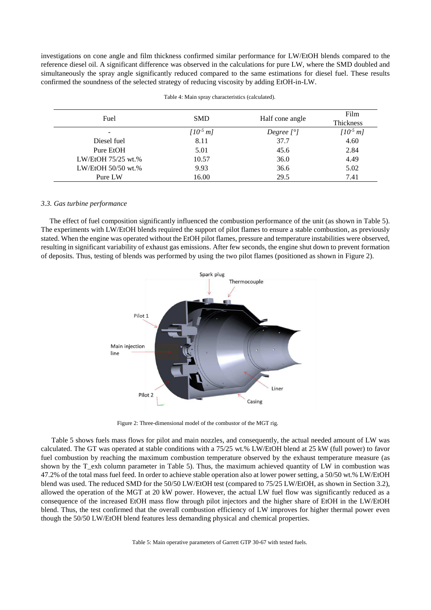investigations on cone angle and film thickness confirmed similar performance for LW/EtOH blends compared to the reference diesel oil. A significant difference was observed in the calculations for pure LW, where the SMD doubled and simultaneously the spray angle significantly reduced compared to the same estimations for diesel fuel. These results confirmed the soundness of the selected strategy of reducing viscosity by adding EtOH-in-LW.

<span id="page-7-0"></span>

| Fuel               | <b>SMD</b>    | Half cone angle | Film<br>Thickness |
|--------------------|---------------|-----------------|-------------------|
|                    | $[10^{-5} m]$ | Degree $[°]$    | $[10^{5} m]$      |
| Diesel fuel        | 8.11          | 37.7            | 4.60              |
| Pure EtOH          | 5.01          | 45.6            | 2.84              |
| LW/EtOH 75/25 wt.% | 10.57         | 36.0            | 4.49              |
| LW/EtOH 50/50 wt.% | 9.93          | 36.6            | 5.02              |
| Pure LW            | 16.00         | 29.5            | 7.41              |

Table 4: Main spray characteristics (calculated).

## *3.3. Gas turbine performance*

The effect of fuel composition significantly influenced the combustion performance of the unit (as shown i[n Table 5\)](#page-7-1). The experiments with LW/EtOH blends required the support of pilot flames to ensure a stable combustion, as previously stated. When the engine was operated without the EtOH pilot flames, pressure and temperature instabilities were observed, resulting in significant variability of exhaust gas emissions. After few seconds, the engine shut down to prevent formation of deposits. Thus, testing of blends was performed by using the two pilot flames (positioned as shown in [Figure 2\)](#page-7-2).



<span id="page-7-2"></span>Figure 2: Three-dimensional model of the combustor of the MGT rig.

 [Table 5](#page-7-1) shows fuels mass flows for pilot and main nozzles, and consequently, the actual needed amount of LW was calculated. The GT was operated at stable conditions with a 75/25 wt.% LW/EtOH blend at 25 kW (full power) to favor fuel combustion by reaching the maximum combustion temperature observed by the exhaust temperature measure (as shown by the T\_exh column parameter in [Table 5\)](#page-7-1). Thus, the maximum achieved quantity of LW in combustion was 47.2% of the total mass fuel feed. In order to achieve stable operation also at lower power setting, a 50/50 wt.% LW/EtOH blend was used. The reduced SMD for the 50/50 LW/EtOH test (compared to 75/25 LW/EtOH, as shown in Section 3.2), allowed the operation of the MGT at 20 kW power. However, the actual LW fuel flow was significantly reduced as a consequence of the increased EtOH mass flow through pilot injectors and the higher share of EtOH in the LW/EtOH blend. Thus, the test confirmed that the overall combustion efficiency of LW improves for higher thermal power even though the 50/50 LW/EtOH blend features less demanding physical and chemical properties.

<span id="page-7-1"></span>Table 5: Main operative parameters of Garrett GTP 30-67 with tested fuels.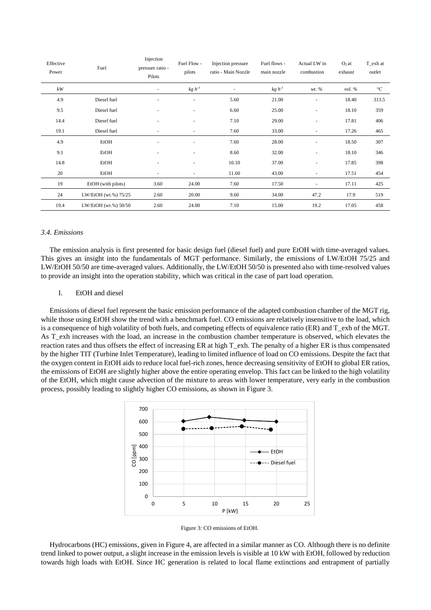| Effective<br>Power | Fuel                 | Injection<br>pressure ratio -<br>Pilots | Fuel Flow -<br>pilots    | Injection pressure<br>ratio - Main Nozzle | Fuel flows -<br>main nozzle | Actual LW in<br>combustion | $O2$ at<br>exhaust | T_exh at<br>outlet |
|--------------------|----------------------|-----------------------------------------|--------------------------|-------------------------------------------|-----------------------------|----------------------------|--------------------|--------------------|
| kW                 |                      | $\sim$                                  | $kg h^{-1}$              | ۰                                         | $kg h^{-1}$                 | wt. %                      | vol. $\%$          | $\mathcal{C}$      |
| 4.9                | Diesel fuel          | ٠                                       | ٠                        | 5.60                                      | 21.00                       | ٠                          | 18.40              | 313.5              |
| 9.5                | Diesel fuel          |                                         | ٠                        | 6.60                                      | 25.00                       | $\sim$                     | 18.10              | 359                |
| 14.4               | Diesel fuel          |                                         | $\sim$                   | 7.10                                      | 29.00                       | $\sim$                     | 17.81              | 406                |
| 19.1               | Diesel fuel          | ٠                                       | $\sim$                   | 7.60                                      | 33.00                       | $\sim$                     | 17.26              | 465                |
| 4.9                | EtOH                 | ٠                                       | ٠                        | 7.60                                      | 28.00                       | ٠                          | 18.50              | 307                |
| 9.1                | EtOH                 | ٠                                       | $\sim$                   | 8.60                                      | 32.00                       | ٠                          | 18.10              | 346                |
| 14.8               | EtOH                 | ٠                                       | ٠                        | 10.10                                     | 37.00                       | ٠                          | 17.85              | 398                |
| 20                 | EtOH                 | $\sim$                                  | $\overline{\phantom{a}}$ | 11.60                                     | 43.00                       | $\overline{\phantom{a}}$   | 17.51              | 454                |
| 19                 | EtOH (with pilots)   | 3.60                                    | 24.00                    | 7.60                                      | 17.50                       | $\overline{\phantom{a}}$   | 17.11              | 425                |
| 24                 | LW/EtOH (wt.%) 75/25 | 2.60                                    | 20.00                    | 9.60                                      | 34.00                       | 47.2                       | 17.9               | 519                |
| 19.4               | LW/EtOH (wt.%) 50/50 | 2.60                                    | 24.00                    | 7.10                                      | 15.00                       | 19.2                       | 17.05              | 458                |

#### *3.4. Emissions*

The emission analysis is first presented for basic design fuel (diesel fuel) and pure EtOH with time-averaged values. This gives an insight into the fundamentals of MGT performance. Similarly, the emissions of LW/EtOH 75/25 and LW/EtOH 50/50 are time-averaged values. Additionally, the LW/EtOH 50/50 is presented also with time-resolved values to provide an insight into the operation stability, which was critical in the case of part load operation.

# I. EtOH and diesel

Emissions of diesel fuel represent the basic emission performance of the adapted combustion chamber of the MGT rig, while those using EtOH show the trend with a benchmark fuel. CO emissions are relatively insensitive to the load, which is a consequence of high volatility of both fuels, and competing effects of equivalence ratio (ER) and T\_exh of the MGT. As T\_exh increases with the load, an increase in the combustion chamber temperature is observed, which elevates the reaction rates and thus offsets the effect of increasing ER at high T\_exh. The penalty of a higher ER is thus compensated by the higher TIT (Turbine Inlet Temperature), leading to limited influence of load on CO emissions. Despite the fact that the oxygen content in EtOH aids to reduce local fuel-rich zones, hence decreasing sensitivity of EtOH to global ER ratios, the emissions of EtOH are slightly higher above the entire operating envelop. This fact can be linked to the high volatility of the EtOH, which might cause advection of the mixture to areas with lower temperature, very early in the combustion process, possibly leading to slightly higher CO emissions, as shown in [Figure 3.](#page-8-0) 



Figure 3: CO emissions of EtOH.

<span id="page-8-0"></span>Hydrocarbons (HC) emissions, given in [Figure 4,](#page-9-0) are affected in a similar manner as CO. Although there is no definite trend linked to power output, a slight increase in the emission levels is visible at 10 kW with EtOH, followed by reduction towards high loads with EtOH. Since HC generation is related to local flame extinctions and entrapment of partially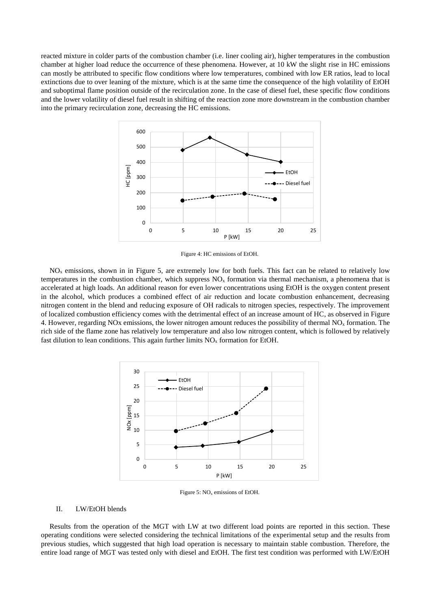reacted mixture in colder parts of the combustion chamber (i.e. liner cooling air), higher temperatures in the combustion chamber at higher load reduce the occurrence of these phenomena. However, at 10 kW the slight rise in HC emissions can mostly be attributed to specific flow conditions where low temperatures, combined with low ER ratios, lead to local extinctions due to over leaning of the mixture, which is at the same time the consequence of the high volatility of EtOH and suboptimal flame position outside of the recirculation zone. In the case of diesel fuel, these specific flow conditions and the lower volatility of diesel fuel result in shifting of the reaction zone more downstream in the combustion chamber into the primary recirculation zone, decreasing the HC emissions.



Figure 4: HC emissions of EtOH.

<span id="page-9-0"></span> $NO<sub>x</sub>$  emissions, shown in in [Figure 5,](#page-9-1) are extremely low for both fuels. This fact can be related to relatively low temperatures in the combustion chamber, which suppress  $NO<sub>x</sub>$  formation via thermal mechanism, a phenomena that is accelerated at high loads. An additional reason for even lower concentrations using EtOH is the oxygen content present in the alcohol, which produces a combined effect of air reduction and locate combustion enhancement, decreasing nitrogen content in the blend and reducing exposure of OH radicals to nitrogen species, respectively. The improvement of localized combustion efficiency comes with the detrimental effect of an increase amount of HC, as observed in [Figure](#page-9-0)  [4.](#page-9-0) However, regarding NOx emissions, the lower nitrogen amount reduces the possibility of thermal  $NO<sub>x</sub>$  formation. The rich side of the flame zone has relatively low temperature and also low nitrogen content, which is followed by relatively fast dilution to lean conditions. This again further limits  $NO<sub>x</sub>$  formation for EtOH.



Figure 5:  $NO<sub>x</sub>$  emissions of EtOH.

## <span id="page-9-1"></span>II. LW/EtOH blends

Results from the operation of the MGT with LW at two different load points are reported in this section. These operating conditions were selected considering the technical limitations of the experimental setup and the results from previous studies, which suggested that high load operation is necessary to maintain stable combustion. Therefore, the entire load range of MGT was tested only with diesel and EtOH. The first test condition was performed with LW/EtOH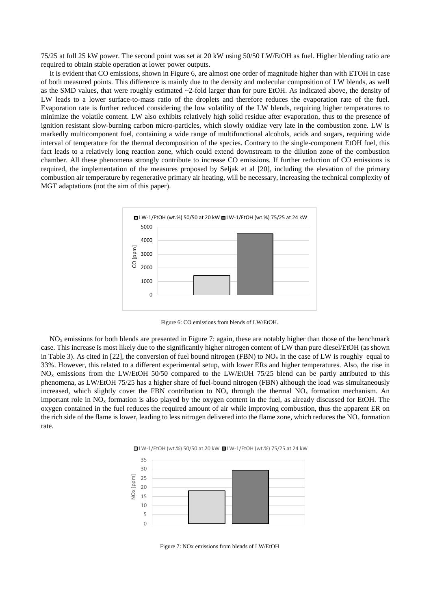75/25 at full 25 kW power. The second point was set at 20 kW using 50/50 LW/EtOH as fuel. Higher blending ratio are required to obtain stable operation at lower power outputs.

It is evident that CO emissions, shown in [Figure 6,](#page-10-0) are almost one order of magnitude higher than with ETOH in case of both measured points. This difference is mainly due to the density and molecular composition of LW blends, as well as the SMD values, that were roughly estimated ~2-fold larger than for pure EtOH. As indicated above, the density of LW leads to a lower surface-to-mass ratio of the droplets and therefore reduces the evaporation rate of the fuel. Evaporation rate is further reduced considering the low volatility of the LW blends, requiring higher temperatures to minimize the volatile content. LW also exhibits relatively high solid residue after evaporation, thus to the presence of ignition resistant slow-burning carbon micro-particles, which slowly oxidize very late in the combustion zone. LW is markedly multicomponent fuel, containing a wide range of multifunctional alcohols, acids and sugars, requiring wide interval of temperature for the thermal decomposition of the species. Contrary to the single-component EtOH fuel, this fact leads to a relatively long reaction zone, which could extend downstream to the dilution zone of the combustion chamber. All these phenomena strongly contribute to increase CO emissions. If further reduction of CO emissions is required, the implementation of the measures proposed by Seljak et al [20], including the elevation of the primary combustion air temperature by regenerative primary air heating, will be necessary, increasing the technical complexity of MGT adaptations (not the aim of this paper).



Figure 6: CO emissions from blends of LW/EtOH.

<span id="page-10-0"></span> $NO<sub>x</sub>$  emissions for both blends are presented in [Figure 7:](#page-10-1) again, these are notably higher than those of the benchmark case. This increase is most likely due to the significantly higher nitrogen content of LW than pure diesel/EtOH (as shown in [Table 3\)](#page-6-0). As cited in [22], the conversion of fuel bound nitrogen (FBN) to  $NO_x$  in the case of LW is roughly equal to 33%. However, this related to a different experimental setup, with lower ERs and higher temperatures. Also, the rise in NOx emissions from the LW/EtOH 50/50 compared to the LW/EtOH 75/25 blend can be partly attributed to this phenomena, as LW/EtOH 75/25 has a higher share of fuel-bound nitrogen (FBN) although the load was simultaneously increased, which slightly cover the FBN contribution to  $NO<sub>x</sub>$  through the thermal  $NO<sub>x</sub>$  formation mechanism. An important role in  $NO<sub>x</sub>$  formation is also played by the oxygen content in the fuel, as already discussed for EtOH. The oxygen contained in the fuel reduces the required amount of air while improving combustion, thus the apparent ER on the rich side of the flame is lower, leading to less nitrogen delivered into the flame zone, which reduces the  $NO<sub>x</sub>$  formation rate.

<span id="page-10-1"></span>

Figure 7: NOx emissions from blends of LW/EtOH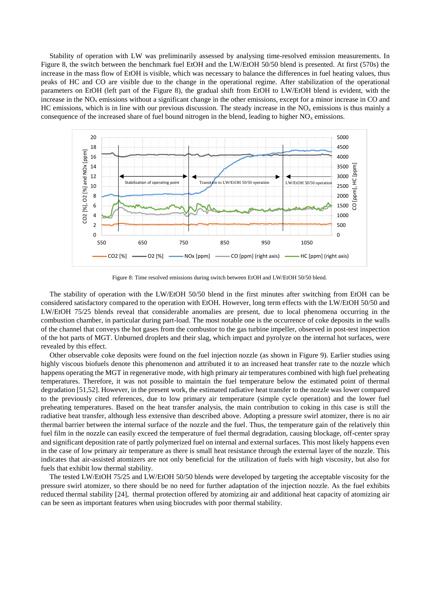Stability of operation with LW was preliminarily assessed by analysing time-resolved emission measurements. In [Figure 8,](#page-11-0) the switch between the benchmark fuel EtOH and the LW/EtOH 50/50 blend is presented. At first (570s) the increase in the mass flow of EtOH is visible, which was necessary to balance the differences in fuel heating values, thus peaks of HC and CO are visible due to the change in the operational regime. After stabilization of the operational parameters on EtOH (left part of the [Figure 8\)](#page-11-0), the gradual shift from EtOH to LW/EtOH blend is evident, with the increase in the  $NO<sub>x</sub>$  emissions without a significant change in the other emissions, except for a minor increase in CO and HC emissions, which is in line with our previous discussion. The steady increase in the  $NO<sub>x</sub>$  emissions is thus mainly a consequence of the increased share of fuel bound nitrogen in the blend, leading to higher  $NO<sub>x</sub>$  emissions.



Figure 8: Time resolved emissions during switch between EtOH and LW/EtOH 50/50 blend.

<span id="page-11-0"></span>The stability of operation with the LW/EtOH 50/50 blend in the first minutes after switching from EtOH can be considered satisfactory compared to the operation with EtOH. However, long term effects with the LW/EtOH 50/50 and LW/EtOH 75/25 blends reveal that considerable anomalies are present, due to local phenomena occurring in the combustion chamber, in particular during part-load. The most notable one is the occurrence of coke deposits in the walls of the channel that conveys the hot gases from the combustor to the gas turbine impeller, observed in post-test inspection of the hot parts of MGT. Unburned droplets and their slag, which impact and pyrolyze on the internal hot surfaces, were revealed by this effect.

Other observable coke deposits were found on the fuel injection nozzle (as shown in [Figure 9\)](#page-12-0). Earlier studies using highly viscous biofuels denote this phenomenon and attributed it to an increased heat transfer rate to the nozzle which happens operating the MGT in regenerative mode, with high primary air temperatures combined with high fuel preheating temperatures. Therefore, it was not possible to maintain the fuel temperature below the estimated point of thermal degradation [51,52]. However, in the present work, the estimated radiative heat transfer to the nozzle was lower compared to the previously cited references, due to low primary air temperature (simple cycle operation) and the lower fuel preheating temperatures. Based on the heat transfer analysis, the main contribution to coking in this case is still the radiative heat transfer, although less extensive than described above. Adopting a pressure swirl atomizer, there is no air thermal barrier between the internal surface of the nozzle and the fuel. Thus, the temperature gain of the relatively thin fuel film in the nozzle can easily exceed the temperature of fuel thermal degradation, causing blockage, off-center spray and significant deposition rate of partly polymerized fuel on internal and external surfaces. This most likely happens even in the case of low primary air temperature as there is small heat resistance through the external layer of the nozzle. This indicates that air-assisted atomizers are not only beneficial for the utilization of fuels with high viscosity, but also for fuels that exhibit low thermal stability.

The tested LW/EtOH 75/25 and LW/EtOH 50/50 blends were developed by targeting the acceptable viscosity for the pressure swirl atomizer, so there should be no need for further adaptation of the injection nozzle. As the fuel exhibits reduced thermal stability [24], thermal protection offered by atomizing air and additional heat capacity of atomizing air can be seen as important features when using biocrudes with poor thermal stability.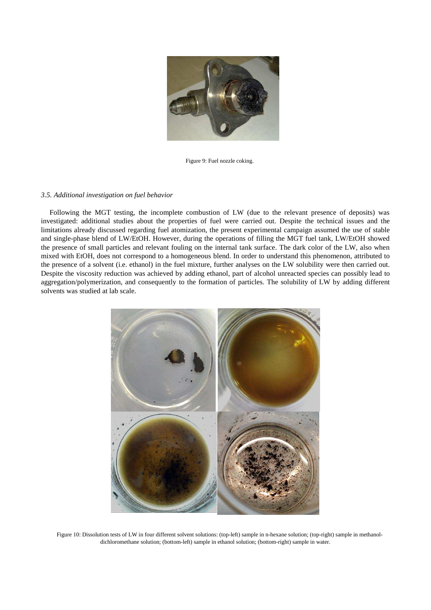

Figure 9: Fuel nozzle coking.

# <span id="page-12-0"></span>*3.5. Additional investigation on fuel behavior*

Following the MGT testing, the incomplete combustion of LW (due to the relevant presence of deposits) was investigated: additional studies about the properties of fuel were carried out. Despite the technical issues and the limitations already discussed regarding fuel atomization, the present experimental campaign assumed the use of stable and single-phase blend of LW/EtOH. However, during the operations of filling the MGT fuel tank, LW/EtOH showed the presence of small particles and relevant fouling on the internal tank surface. The dark color of the LW, also when mixed with EtOH, does not correspond to a homogeneous blend. In order to understand this phenomenon, attributed to the presence of a solvent (i.e. ethanol) in the fuel mixture, further analyses on the LW solubility were then carried out. Despite the viscosity reduction was achieved by adding ethanol, part of alcohol unreacted species can possibly lead to aggregation/polymerization, and consequently to the formation of particles. The solubility of LW by adding different solvents was studied at lab scale.

<span id="page-12-1"></span>

Figure 10: Dissolution tests of LW in four different solvent solutions: (top-left) sample in n-hexane solution; (top-right) sample in methanoldichloromethane solution; (bottom-left) sample in ethanol solution; (bottom-right) sample in water.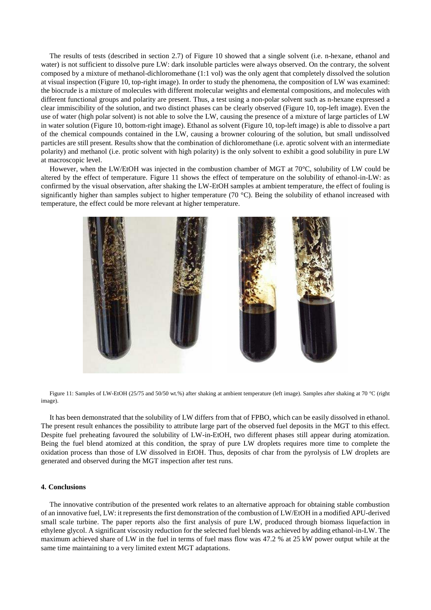The results of tests (described in section [2.7\)](#page-5-1) of [Figure 10](#page-12-1) showed that a single solvent (i.e. n-hexane, ethanol and water) is not sufficient to dissolve pure LW: dark insoluble particles were always observed. On the contrary, the solvent composed by a mixture of methanol-dichloromethane (1:1 vol) was the only agent that completely dissolved the solution at visual inspection [\(Figure 10,](#page-12-1) top-right image). In order to study the phenomena, the composition of LW was examined: the biocrude is a mixture of molecules with different molecular weights and elemental compositions, and molecules with different functional groups and polarity are present. Thus, a test using a non-polar solvent such as n-hexane expressed a clear immiscibility of the solution, and two distinct phases can be clearly observed [\(Figure 10,](#page-12-1) top-left image). Even the use of water (high polar solvent) is not able to solve the LW, causing the presence of a mixture of large particles of LW in water solution [\(Figure 10,](#page-12-1) bottom-right image). Ethanol as solvent [\(Figure 10,](#page-12-1) top-left image) is able to dissolve a part of the chemical compounds contained in the LW, causing a browner colouring of the solution, but small undissolved particles are still present. Results show that the combination of dichloromethane (i.e. aprotic solvent with an intermediate polarity) and methanol (i.e. protic solvent with high polarity) is the only solvent to exhibit a good solubility in pure LW at macroscopic level.

However, when the LW/EtOH was injected in the combustion chamber of MGT at 70°C, solubility of LW could be altered by the effect of temperature. [Figure 11](#page-13-0) shows the effect of temperature on the solubility of ethanol-in-LW: as confirmed by the visual observation, after shaking the LW-EtOH samples at ambient temperature, the effect of fouling is significantly higher than samples subject to higher temperature (70 °C). Being the solubility of ethanol increased with temperature, the effect could be more relevant at higher temperature.



<span id="page-13-0"></span>Figure 11: Samples of LW-EtOH (25/75 and 50/50 wt.%) after shaking at ambient temperature (left image). Samples after shaking at 70 °C (right image).

It has been demonstrated that the solubility of LW differs from that of FPBO, which can be easily dissolved in ethanol. The present result enhances the possibility to attribute large part of the observed fuel deposits in the MGT to this effect. Despite fuel preheating favoured the solubility of LW-in-EtOH, two different phases still appear during atomization. Being the fuel blend atomized at this condition, the spray of pure LW droplets requires more time to complete the oxidation process than those of LW dissolved in EtOH. Thus, deposits of char from the pyrolysis of LW droplets are generated and observed during the MGT inspection after test runs.

#### **4. Conclusions**

The innovative contribution of the presented work relates to an alternative approach for obtaining stable combustion of an innovative fuel, LW: it represents the first demonstration of the combustion of LW/EtOH in a modified APU-derived small scale turbine. The paper reports also the first analysis of pure LW, produced through biomass liquefaction in ethylene glycol. A significant viscosity reduction for the selected fuel blends was achieved by adding ethanol-in-LW. The maximum achieved share of LW in the fuel in terms of fuel mass flow was 47.2 % at 25 kW power output while at the same time maintaining to a very limited extent MGT adaptations.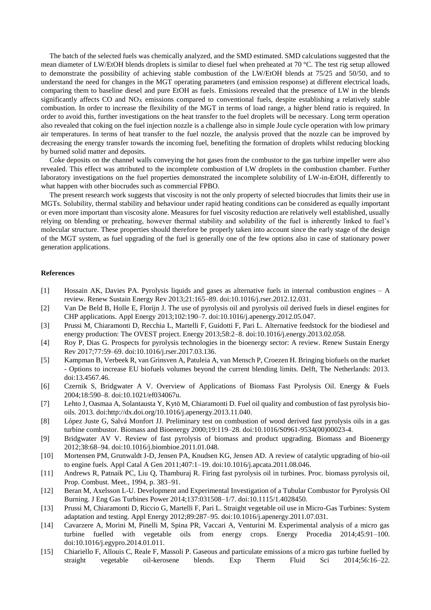The batch of the selected fuels was chemically analyzed, and the SMD estimated. SMD calculations suggested that the mean diameter of LW/EtOH blends droplets is similar to diesel fuel when preheated at 70 °C. The test rig setup allowed to demonstrate the possibility of achieving stable combustion of the LW/EtOH blends at 75/25 and 50/50, and to understand the need for changes in the MGT operating parameters (and emission response) at different electrical loads, comparing them to baseline diesel and pure EtOH as fuels. Emissions revealed that the presence of LW in the blends significantly affects CO and  $NO<sub>X</sub>$  emissions compared to conventional fuels, despite establishing a relatively stable combustion. In order to increase the flexibility of the MGT in terms of load range, a higher blend ratio is required. In order to avoid this, further investigations on the heat transfer to the fuel droplets will be necessary. Long term operation also revealed that coking on the fuel injection nozzle is a challenge also in simple Joule cycle operation with low primary air temperatures. In terms of heat transfer to the fuel nozzle, the analysis proved that the nozzle can be improved by decreasing the energy transfer towards the incoming fuel, benefiting the formation of droplets whilst reducing blocking by burned solid matter and deposits.

Coke deposits on the channel walls conveying the hot gases from the combustor to the gas turbine impeller were also revealed. This effect was attributed to the incomplete combustion of LW droplets in the combustion chamber. Further laboratory investigations on the fuel properties demonstrated the incomplete solubility of LW-in-EtOH, differently to what happen with other biocrudes such as commercial FPBO.

The present research work suggests that viscosity is not the only property of selected biocrudes that limits their use in MGTs. Solubility, thermal stability and behaviour under rapid heating conditions can be considered as equally important or even more important than viscosity alone. Measures for fuel viscosity reduction are relatively well established, usually relying on blending or preheating, however thermal stability and solubility of the fuel is inherently linked to fuel's molecular structure. These properties should therefore be properly taken into account since the early stage of the design of the MGT system, as fuel upgrading of the fuel is generally one of the few options also in case of stationary power generation applications.

# **References**

- [1] Hossain AK, Davies PA. Pyrolysis liquids and gases as alternative fuels in internal combustion engines A review. Renew Sustain Energy Rev 2013;21:165–89. doi:10.1016/j.rser.2012.12.031.
- [2] Van De Beld B, Holle E, Florijn J. The use of pyrolysis oil and pyrolysis oil derived fuels in diesel engines for CHP applications. Appl Energy 2013;102:190–7. doi:10.1016/j.apenergy.2012.05.047.
- [3] Prussi M, Chiaramonti D, Recchia L, Martelli F, Guidotti F, Pari L. Alternative feedstock for the biodiesel and energy production: The OVEST project. Energy 2013;58:2–8. doi:10.1016/j.energy.2013.02.058.
- [4] Roy P, Dias G. Prospects for pyrolysis technologies in the bioenergy sector: A review. Renew Sustain Energy Rev 2017;77:59–69. doi:10.1016/j.rser.2017.03.136.
- [5] Kampman B, Verbeek R, van Grinsven A, Patuleia A, van Mensch P, Croezen H. Bringing biofuels on the market - Options to increase EU biofuels volumes beyond the current blending limits. Delft, The Netherlands: 2013. doi:13.4567.46.
- [6] Czernik S, Bridgwater A V. Overview of Applications of Biomass Fast Pyrolysis Oil. Energy & Fuels 2004;18:590–8. doi:10.1021/ef034067u.
- [7] Lehto J, Oasmaa A, Solantausta Y, Kytö M, Chiaramonti D. Fuel oil quality and combustion of fast pyrolysis biooils. 2013. doi:http://dx.doi.org/10.1016/j.apenergy.2013.11.040.
- [8] López Juste G, Salvá Monfort JJ. Preliminary test on combustion of wood derived fast pyrolysis oils in a gas turbine combustor. Biomass and Bioenergy 2000;19:119–28. doi:10.1016/S0961-9534(00)00023-4.
- [9] Bridgwater AV V. Review of fast pyrolysis of biomass and product upgrading. Biomass and Bioenergy 2012;38:68–94. doi:10.1016/j.biombioe.2011.01.048.
- [10] Mortensen PM, Grunwaldt J-D, Jensen PA, Knudsen KG, Jensen AD. A review of catalytic upgrading of bio-oil to engine fuels. Appl Catal A Gen 2011;407:1–19. doi:10.1016/j.apcata.2011.08.046.
- [11] Andrews R, Patnaik PC, Liu Q, Thamburaj R. Firing fast pyrolysis oil in turbines. Proc. biomass pyrolysis oil, Prop. Combust. Meet., 1994, p. 383–91.
- [12] Beran M, Axelsson L-U. Development and Experimental Investigation of a Tubular Combustor for Pyrolysis Oil Burning. J Eng Gas Turbines Power 2014;137:031508–1/7. doi:10.1115/1.4028450.
- [13] Prussi M, Chiaramonti D, Riccio G, Martelli F, Pari L. Straight vegetable oil use in Micro-Gas Turbines: System adaptation and testing. Appl Energy 2012;89:287–95. doi:10.1016/j.apenergy.2011.07.031.
- [14] Cavarzere A, Morini M, Pinelli M, Spina PR, Vaccari A, Venturini M. Experimental analysis of a micro gas turbine fuelled with vegetable oils from energy crops. Energy Procedia 2014;45:91–100. doi:10.1016/j.egypro.2014.01.011.
- [15] Chiariello F, Allouis C, Reale F, Massoli P. Gaseous and particulate emissions of a micro gas turbine fuelled by straight vegetable oil-kerosene blends. Exp Therm Fluid Sci 2014;56:16–22.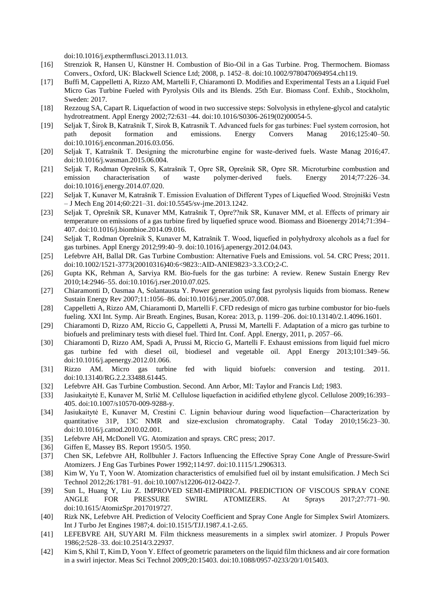doi:10.1016/j.expthermflusci.2013.11.013.

- [16] Strenziok R, Hansen U, Künstner H. Combustion of Bio-Oil in a Gas Turbine. Prog. Thermochem. Biomass Convers., Oxford, UK: Blackwell Science Ltd; 2008, p. 1452–8. doi:10.1002/9780470694954.ch119.
- [17] Buffi M, Cappelletti A, Rizzo AM, Martelli F, Chiaramonti D. Modifies and Experimental Tests an a Liquid Fuel Micro Gas Turbine Fueled with Pyrolysis Oils and its Blends. 25th Eur. Biomass Conf. Exhib., Stockholm, Sweden: 2017.
- [18] Rezzoug SA, Capart R. Liquefaction of wood in two successive steps: Solvolysis in ethylene-glycol and catalytic hydrotreatment. Appl Energy 2002;72:631–44. doi:10.1016/S0306-2619(02)00054-5.
- [19] Seljak T, Širok B, Katrašnik T, Sirok B, Katrasnik T. Advanced fuels for gas turbines: Fuel system corrosion, hot path deposit formation and emissions. Energy Convers Manag 2016;125:40–50. doi:10.1016/j.enconman.2016.03.056.
- [20] Seljak T, Katrašnik T. Designing the microturbine engine for waste-derived fuels. Waste Manag 2016;47. doi:10.1016/j.wasman.2015.06.004.
- [21] Seljak T, Rodman Oprešnik S, Katrašnik T, Opre SR, Oprešnik SR, Opre SR. Microturbine combustion and emission characterisation of waste polymer-derived fuels. Energy 2014;77:226–34. doi:10.1016/j.energy.2014.07.020.
- [22] Seljak T, Kunaver M, Katrašnik T. Emission Evaluation of Different Types of Liquefied Wood. Strojniški Vestn – J Mech Eng 2014;60:221–31. doi:10.5545/sv-jme.2013.1242.
- [23] Seljak T, Oprešnik SR, Kunaver MM, Katrašnik T, Opre??nik SR, Kunaver MM, et al. Effects of primary air temperature on emissions of a gas turbine fired by liquefied spruce wood. Biomass and Bioenergy 2014;71:394– 407. doi:10.1016/j.biombioe.2014.09.016.
- [24] Seljak T, Rodman Oprešnik S, Kunaver M, Katrašnik T. Wood, liquefied in polyhydroxy alcohols as a fuel for gas turbines. Appl Energy 2012;99:40–9. doi:10.1016/j.apenergy.2012.04.043.
- [25] Lefebvre AH, Ballal DR. Gas Turbine Combustion: Alternative Fuels and Emissions. vol. 54. CRC Press; 2011. doi:10.1002/1521-3773(20010316)40:6<9823::AID-ANIE9823>3.3.CO;2-C.
- [26] Gupta KK, Rehman A, Sarviya RM. Bio-fuels for the gas turbine: A review. Renew Sustain Energy Rev 2010;14:2946–55. doi:10.1016/j.rser.2010.07.025.
- [27] Chiaramonti D, Oasmaa A, Solantausta Y. Power generation using fast pyrolysis liquids from biomass. Renew Sustain Energy Rev 2007;11:1056–86. doi:10.1016/j.rser.2005.07.008.
- [28] Cappelletti A, Rizzo AM, Chiaramonti D, Martelli F. CFD redesign of micro gas turbine combustor for bio-fuels fueling. XXI Int. Symp. Air Breath. Engines, Busan, Korea: 2013, p. 1199–206. doi:10.13140/2.1.4096.1601.
- [29] Chiaramonti D, Rizzo AM, Riccio G, Cappelletti A, Prussi M, Martelli F. Adaptation of a micro gas turbine to biofuels and preliminary tests with diesel fuel. Third Int. Conf. Appl. Energy, 2011, p. 2057–66.
- [30] Chiaramonti D, Rizzo AM, Spadi A, Prussi M, Riccio G, Martelli F. Exhaust emissions from liquid fuel micro gas turbine fed with diesel oil, biodiesel and vegetable oil. Appl Energy 2013;101:349–56. doi:10.1016/j.apenergy.2012.01.066.
- [31] Rizzo AM. Micro gas turbine fed with liquid biofuels: conversion and testing. 2011. doi:10.13140/RG.2.2.33488.61445.
- [32] Lefebvre AH. Gas Turbine Combustion. Second. Ann Arbor, MI: Taylor and Francis Ltd; 1983.
- [33] Jasiukaitytė E, Kunaver M, Strlič M. Cellulose liquefaction in acidified ethylene glycol. Cellulose 2009;16:393– 405. doi:10.1007/s10570-009-9288-y.
- [34] Jasiukaitytė E, Kunaver M, Crestini C. Lignin behaviour during wood liquefaction—Characterization by quantitative 31P, 13C NMR and size-exclusion chromatography. Catal Today 2010;156:23–30. doi:10.1016/j.cattod.2010.02.001.
- [35] Lefebvre AH, McDonell VG. Atomization and sprays. CRC press; 2017.
- [36] Giffen E, Massey BS. Report 1950/5. 1950.
- [37] Chen SK, Lefebvre AH, Rollbuhler J. Factors Influencing the Effective Spray Cone Angle of Pressure-Swirl Atomizers. J Eng Gas Turbines Power 1992;114:97. doi:10.1115/1.2906313.
- [38] Kim W, Yu T, Yoon W. Atomization characteristics of emulsified fuel oil by instant emulsification. J Mech Sci Technol 2012;26:1781–91. doi:10.1007/s12206-012-0422-7.
- [39] Sun L, Huang Y, Liu Z. IMPROVED SEMI-EMIPIRICAL PREDICTION OF VISCOUS SPRAY CONE ANGLE FOR PRESSURE SWIRL ATOMIZERS. At Sprays 2017;27:771–90. doi:10.1615/AtomizSpr.2017019727.
- [40] Rizk NK, Lefebvre AH. Prediction of Velocity Coefficient and Spray Cone Angle for Simplex Swirl Atomizers. Int J Turbo Jet Engines 1987;4. doi:10.1515/TJJ.1987.4.1-2.65.
- [41] LEFEBVRE AH, SUYARI M. Film thickness measurements in a simplex swirl atomizer. J Propuls Power 1986;2:528–33. doi:10.2514/3.22937.
- [42] Kim S, Khil T, Kim D, Yoon Y. Effect of geometric parameters on the liquid film thickness and air core formation in a swirl injector. Meas Sci Technol 2009;20:15403. doi:10.1088/0957-0233/20/1/015403.